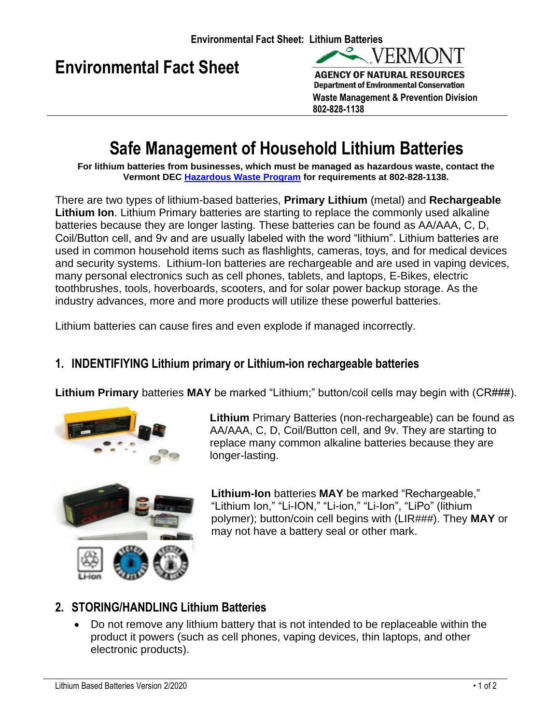



**Waste Management & Prevention Division 802-828-1138**

# **Safe Management of Household Lithium Batteries**

**For lithium batteries from businesses, which must be managed as hazardous waste, contact the Vermont DEC [Hazardous Waste Program](https://dec.vermont.gov/waste-management/hazardous) for requirements at 802-828-1138.**

There are two types of lithium-based batteries, **Primary Lithium** (metal) and **Rechargeable Lithium Ion**. Lithium Primary batteries are starting to replace the commonly used alkaline batteries because they are longer lasting. These batteries can be found as AA/AAA, C, D, Coil/Button cell, and 9v and are usually labeled with the word "lithium". Lithium batteries are used in common household items such as flashlights, cameras, toys, and for medical devices and security systems. Lithium-Ion batteries are rechargeable and are used in vaping devices, many personal electronics such as cell phones, tablets, and laptops, E-Bikes, electric toothbrushes, tools, hoverboards, scooters, and for solar power backup storage. As the industry advances, more and more products will utilize these powerful batteries.

Lithium batteries can cause fires and even explode if managed incorrectly.

### **1. INDENTIFIYING Lithium primary or Lithium-ion rechargeable batteries**

**Lithium Primary** batteries **MAY** be marked "Lithium;" button/coil cells may begin with (CR###).



**Lithium** Primary Batteries (non-rechargeable) can be found as AA/AAA, C, D, Coil/Button cell, and 9v. They are starting to replace many common alkaline batteries because they are longer-lasting.



**Lithium-Ion** batteries **MAY** be marked "Rechargeable," "Lithium Ion," "Li-ION," "Li-ion," "Li-Ion", "LiPo" (lithium polymer); button/coin cell begins with (LIR###). They **MAY** or may not have a battery seal or other mark.

## **2. STORING/HANDLING Lithium Batteries**

• Do not remove any lithium battery that is not intended to be replaceable within the product it powers (such as cell phones, vaping devices, thin laptops, and other electronic products).